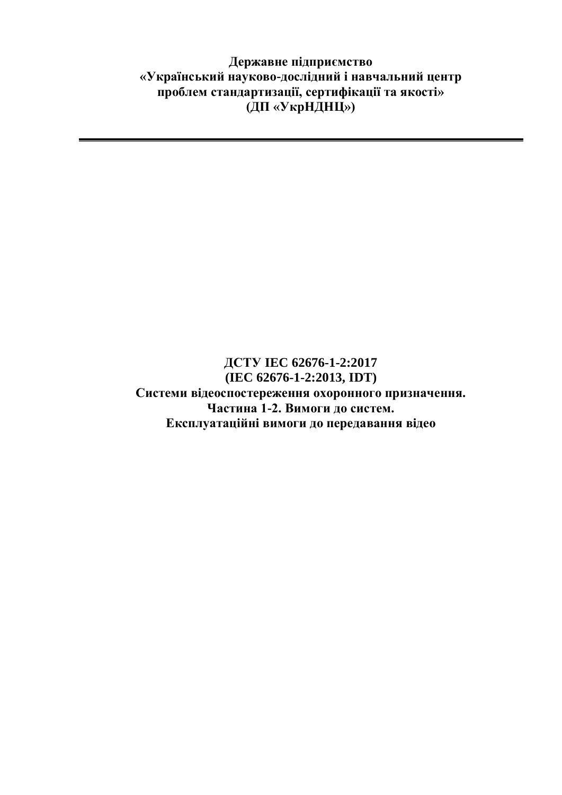**Державне підприємство «Український науково-дослідний і навчальний центр проблем стандартизації, сертифікації та якості» (ДП «УкрНДНЦ»)**

## **ДСТУ IEC 62676-1-2:2017 (IEC 62676-1-2:2013, IDT) Системи відеоспостереження охоронного призначення. Частина 1-2. Вимоги до систем. Експлуатаційні вимоги до передавання відео**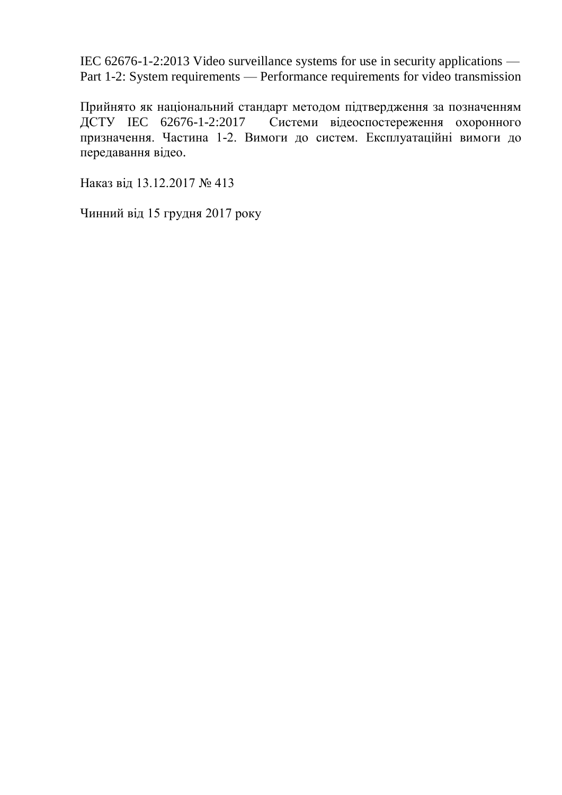IEC 62676-1-2:2013 Video surveillance systems for use in security applications — Part 1-2: System requirements — Performance requirements for video transmission

Прийнято як національний стандарт методом підтвердження за позначенням ДСТУ IEC 62676-1-2:2017 Системи відеоспостереження охоронного призначення. Частина 1-2. Вимоги до систем. Експлуатаційні вимоги до передавання відео.

Наказ від 13.12.2017 № 413

Чинний від 15 грудня 2017 року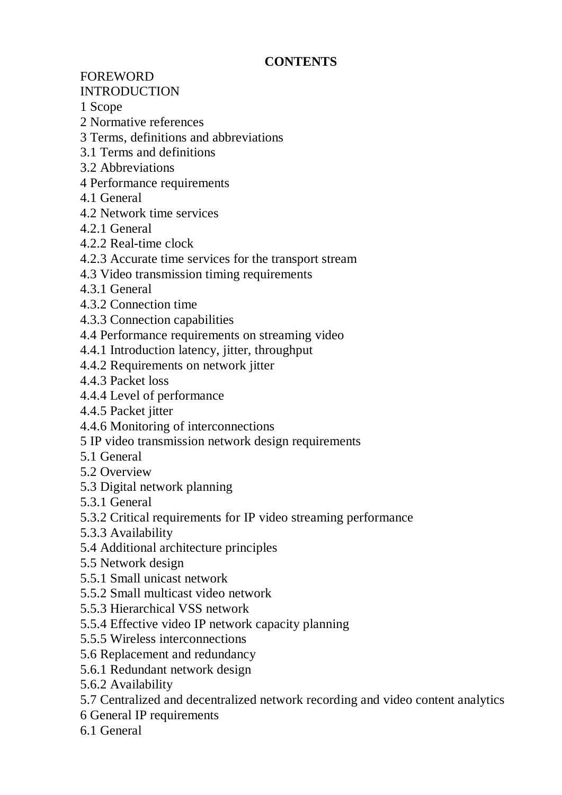## **CONTENTS**

FOREWORD

## INTRODUCTION

1 Scope

- 2 Normative references
- 3 Terms, definitions and abbreviations
- 3.1 Terms and definitions
- 3.2 Abbreviations
- 4 Performance requirements
- 4.1 General
- 4.2 Network time services
- 4.2.1 General
- 4.2.2 Real-time clock
- 4.2.3 Accurate time services for the transport stream
- 4.3 Video transmission timing requirements
- 4.3.1 General
- 4.3.2 Connection time
- 4.3.3 Connection capabilities
- 4.4 Performance requirements on streaming video
- 4.4.1 Introduction latency, jitter, throughput
- 4.4.2 Requirements on network jitter
- 4.4.3 Packet loss
- 4.4.4 Level of performance
- 4.4.5 Packet jitter
- 4.4.6 Monitoring of interconnections
- 5 IP video transmission network design requirements
- 5.1 General
- 5.2 Overview
- 5.3 Digital network planning
- 5.3.1 General
- 5.3.2 Critical requirements for IP video streaming performance
- 5.3.3 Availability
- 5.4 Additional architecture principles
- 5.5 Network design
- 5.5.1 Small unicast network
- 5.5.2 Small multicast video network
- 5.5.3 Hierarchical VSS network
- 5.5.4 Effective video IP network capacity planning
- 5.5.5 Wireless interconnections
- 5.6 Replacement and redundancy
- 5.6.1 Redundant network design
- 5.6.2 Availability
- 5.7 Centralized and decentralized network recording and video content analytics
- 6 General IP requirements
- 6.1 General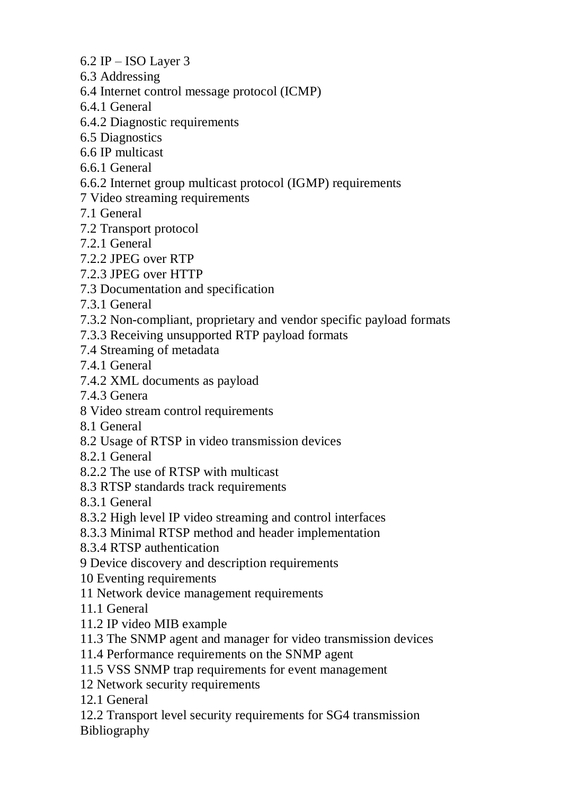6.2 IP – ISO Layer 3

- 6.3 Addressing
- 6.4 Internet control message protocol (ICMP)
- 6.4.1 General
- 6.4.2 Diagnostic requirements
- 6.5 Diagnostics
- 6.6 IP multicast
- 6.6.1 General
- 6.6.2 Internet group multicast protocol (IGMP) requirements
- 7 Video streaming requirements
- 7.1 General
- 7.2 Transport protocol
- 7.2.1 General
- 7.2.2 JPEG over RTP
- 7.2.3 JPEG over HTTP
- 7.3 Documentation and specification
- 7.3.1 General
- 7.3.2 Non-compliant, proprietary and vendor specific payload formats
- 7.3.3 Receiving unsupported RTP payload formats
- 7.4 Streaming of metadata
- 7.4.1 General
- 7.4.2 XML documents as payload
- 7.4.3 Genera
- 8 Video stream control requirements
- 8.1 General
- 8.2 Usage of RTSP in video transmission devices
- 8.2.1 General
- 8.2.2 The use of RTSP with multicast
- 8.3 RTSP standards track requirements
- 8.3.1 General
- 8.3.2 High level IP video streaming and control interfaces
- 8.3.3 Minimal RTSP method and header implementation
- 8.3.4 RTSP authentication
- 9 Device discovery and description requirements
- 10 Eventing requirements
- 11 Network device management requirements
- 11.1 General
- 11.2 IP video MIB example
- 11.3 The SNMP agent and manager for video transmission devices
- 11.4 Performance requirements on the SNMP agent
- 11.5 VSS SNMP trap requirements for event management
- 12 Network security requirements
- 12.1 General
- 12.2 Transport level security requirements for SG4 transmission Bibliography